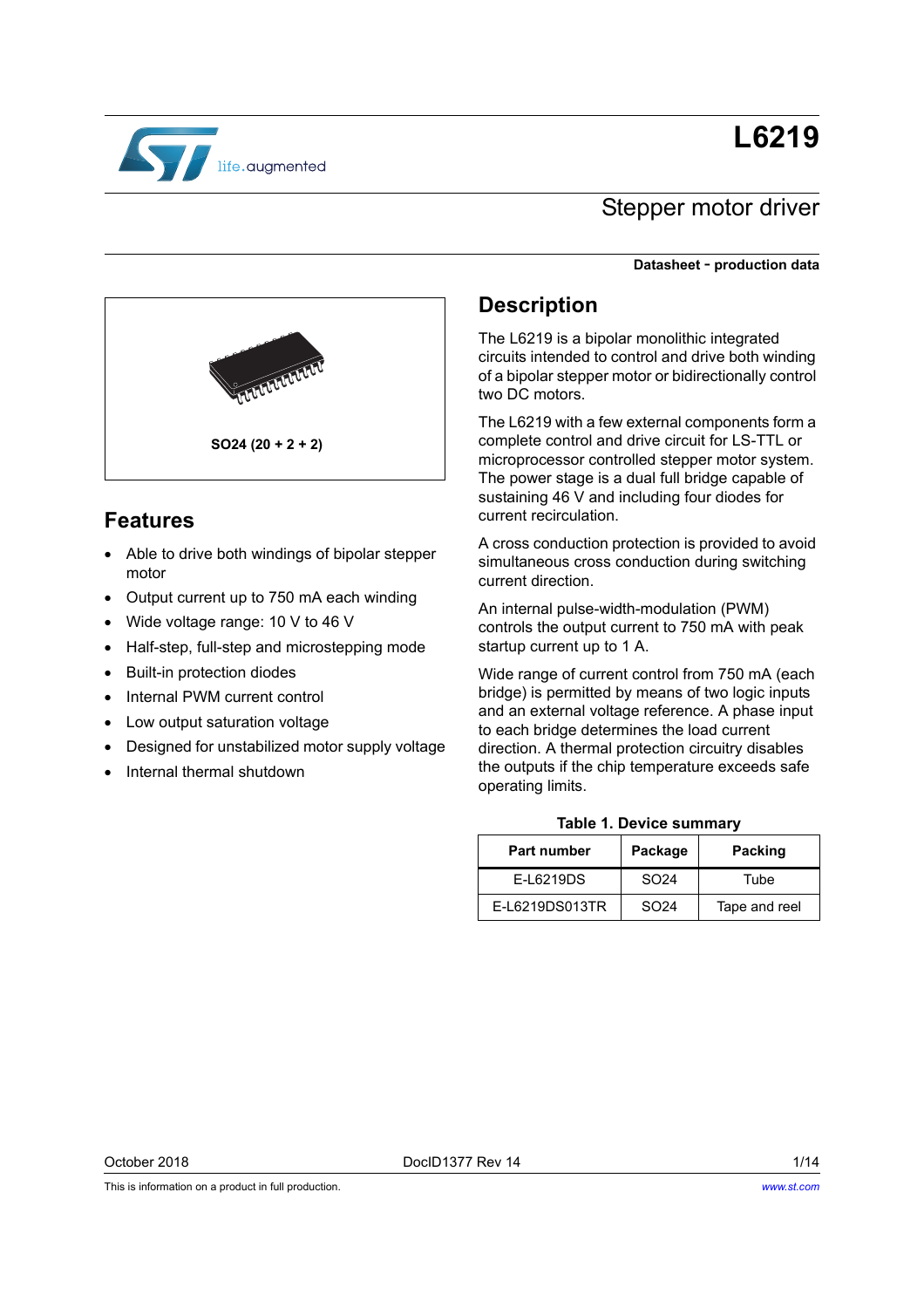# **L6219**



## Stepper motor driver

#### **Datasheet** - **production data**



## **Features**

- Able to drive both windings of bipolar stepper motor
- Output current up to 750 mA each winding
- Wide voltage range: 10 V to 46 V
- Half-step, full-step and microstepping mode
- Built-in protection diodes
- Internal PWM current control
- Low output saturation voltage
- Designed for unstabilized motor supply voltage
- Internal thermal shutdown

### **Description**

The L6219 is a bipolar monolithic integrated circuits intended to control and drive both winding of a bipolar stepper motor or bidirectionally control two DC motors.

The L6219 with a few external components form a complete control and drive circuit for LS-TTL or microprocessor controlled stepper motor system. The power stage is a dual full bridge capable of sustaining 46 V and including four diodes for current recirculation.

A cross conduction protection is provided to avoid simultaneous cross conduction during switching current direction.

An internal pulse-width-modulation (PWM) controls the output current to 750 mA with peak startup current up to 1 A.

Wide range of current control from 750 mA (each bridge) is permitted by means of two logic inputs and an external voltage reference. A phase input to each bridge determines the load current direction. A thermal protection circuitry disables the outputs if the chip temperature exceeds safe operating limits.

#### **Table 1. Device summary**

| <b>Part number</b> | Package          | <b>Packing</b> |
|--------------------|------------------|----------------|
| <b>F-16219DS</b>   | SO <sub>24</sub> | Tube           |
| E-L6219DS013TR     | SO <sub>24</sub> | Tape and reel  |

This is information on a product in full production.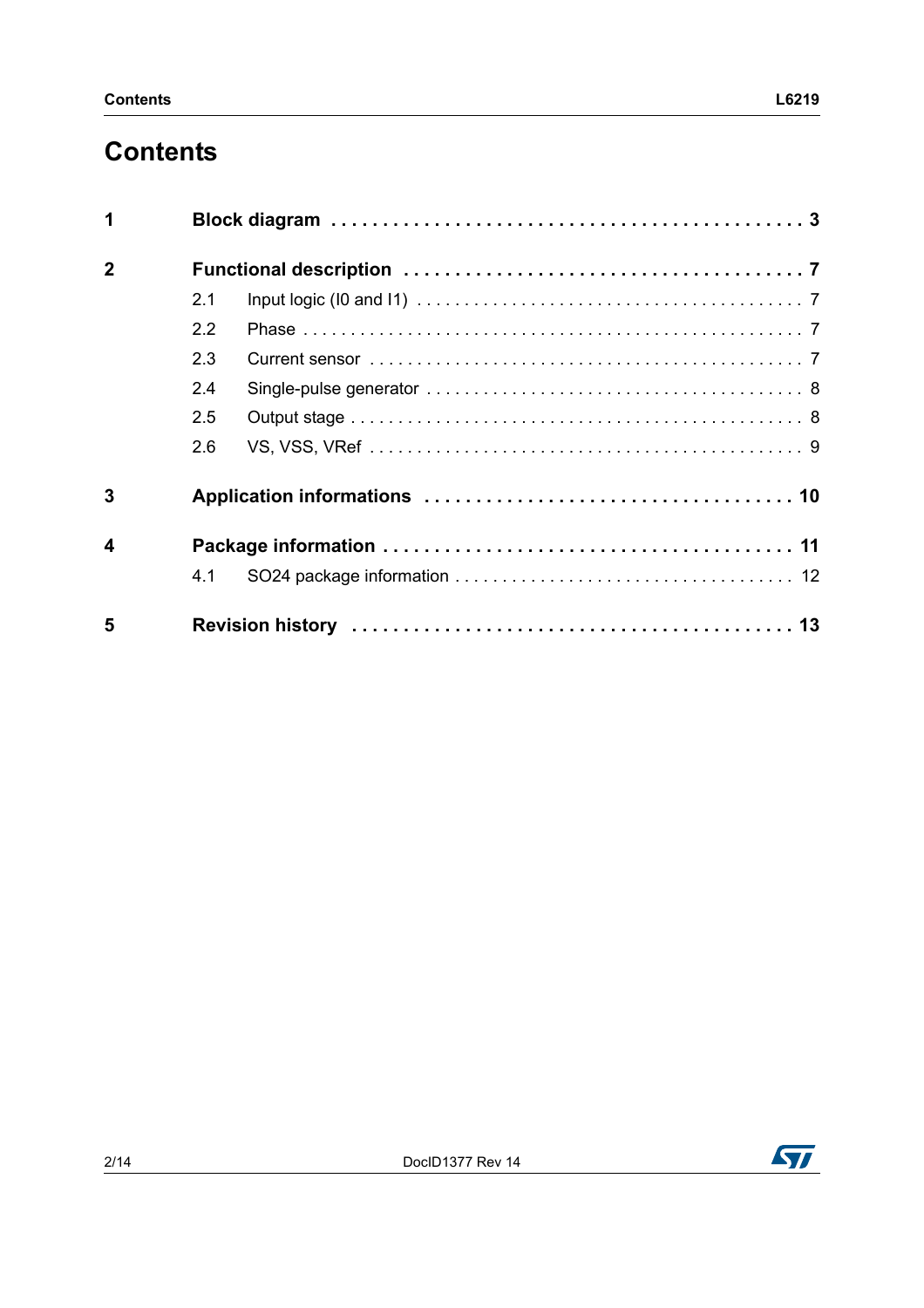# **Contents**

| 1                       |     |  |
|-------------------------|-----|--|
| $\overline{2}$          |     |  |
|                         | 2.1 |  |
|                         | 2.2 |  |
|                         | 2.3 |  |
|                         | 2.4 |  |
|                         | 2.5 |  |
|                         | 2.6 |  |
| 3                       |     |  |
| $\overline{\mathbf{A}}$ |     |  |
|                         | 4.1 |  |
| 5                       |     |  |

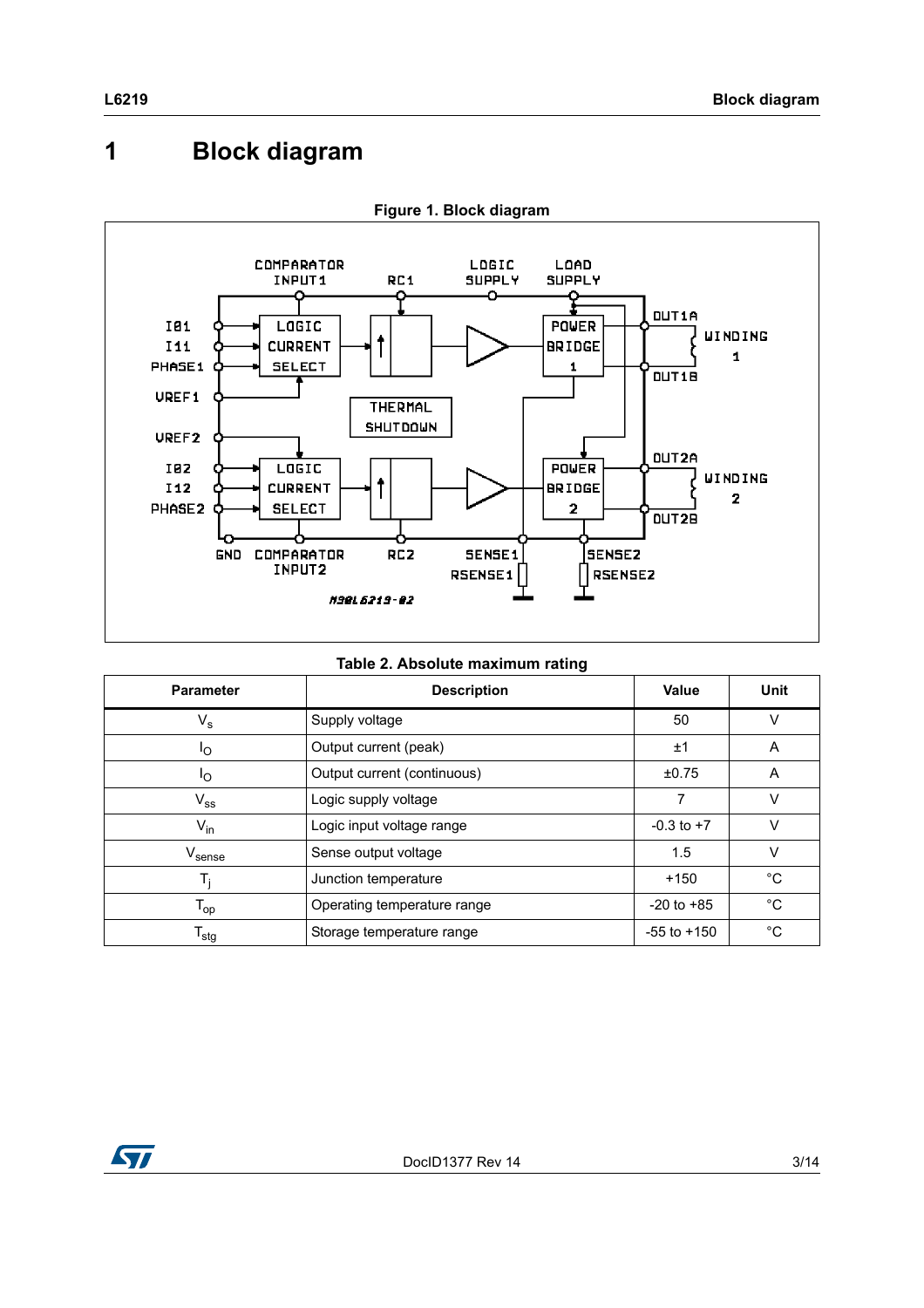# <span id="page-2-0"></span>**1 Block diagram**



**Figure 1. Block diagram**

|  | Table 2. Absolute maximum rating |  |
|--|----------------------------------|--|
|  |                                  |  |

| <b>Parameter</b>              | <b>Description</b>          | <b>Value</b>    | <b>Unit</b> |
|-------------------------------|-----------------------------|-----------------|-------------|
| $\mathsf{V}_{\mathsf{s}}$     | Supply voltage              | 50              | v           |
| Ιo                            | Output current (peak)       | ±1              | A           |
| Ιo                            | Output current (continuous) | ±0.75           | A           |
| $V_{SS}$                      | Logic supply voltage        | 7               | V           |
| $V_{in}$                      | Logic input voltage range   | $-0.3$ to $+7$  | $\vee$      |
| $\mathsf{V}_{\mathsf{sense}}$ | Sense output voltage        | 1.5             | v           |
| $T_i$                         | Junction temperature        | $+150$          | $^{\circ}C$ |
| $\mathsf{T}_{\mathsf{op}}$    | Operating temperature range | $-20$ to $+85$  | $^{\circ}C$ |
| $\mathsf{T}_{\mathsf{stg}}$   | Storage temperature range   | $-55$ to $+150$ | $^{\circ}C$ |

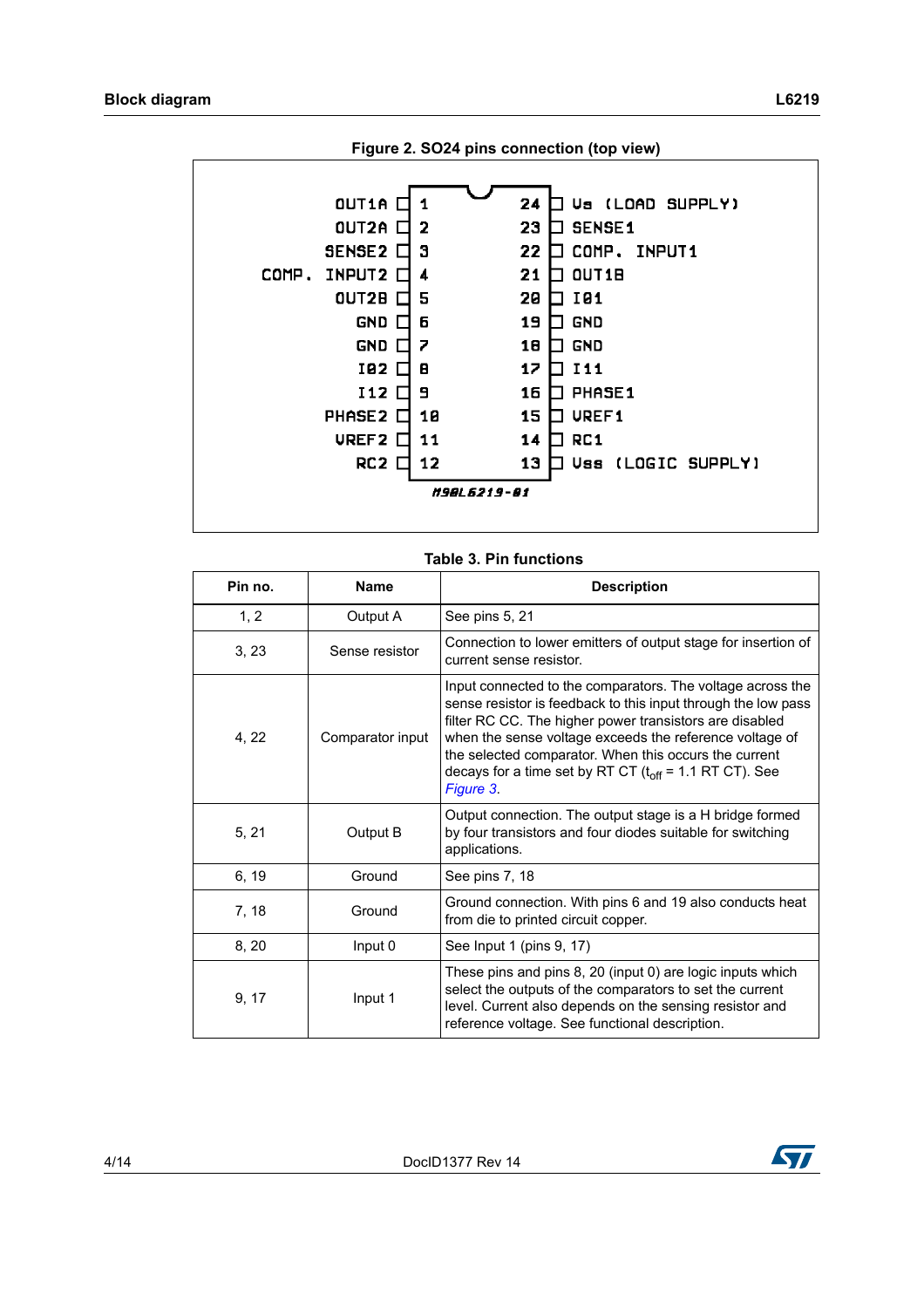

#### **Table 3. Pin functions**

| Pin no. | <b>Name</b>      | <b>Description</b>                                                                                                                                                                                                                                                                                                                                                                     |
|---------|------------------|----------------------------------------------------------------------------------------------------------------------------------------------------------------------------------------------------------------------------------------------------------------------------------------------------------------------------------------------------------------------------------------|
| 1, 2    | Output A         | See pins 5, 21                                                                                                                                                                                                                                                                                                                                                                         |
| 3, 23   | Sense resistor   | Connection to lower emitters of output stage for insertion of<br>current sense resistor.                                                                                                                                                                                                                                                                                               |
| 4, 22   | Comparator input | Input connected to the comparators. The voltage across the<br>sense resistor is feedback to this input through the low pass<br>filter RC CC. The higher power transistors are disabled<br>when the sense voltage exceeds the reference voltage of<br>the selected comparator. When this occurs the current<br>decays for a time set by RT CT $(t_{off} = 1.1$ RT CT). See<br>Figure 3. |
| 5, 21   | Output B         | Output connection. The output stage is a H bridge formed<br>by four transistors and four diodes suitable for switching<br>applications.                                                                                                                                                                                                                                                |
| 6, 19   | Ground           | See pins 7, 18                                                                                                                                                                                                                                                                                                                                                                         |
| 7, 18   | Ground           | Ground connection. With pins 6 and 19 also conducts heat<br>from die to printed circuit copper.                                                                                                                                                                                                                                                                                        |
| 8, 20   | Input 0          | See Input 1 (pins 9, 17)                                                                                                                                                                                                                                                                                                                                                               |
| 9, 17   | Input 1          | These pins and pins 8, 20 (input 0) are logic inputs which<br>select the outputs of the comparators to set the current<br>level. Current also depends on the sensing resistor and<br>reference voltage. See functional description.                                                                                                                                                    |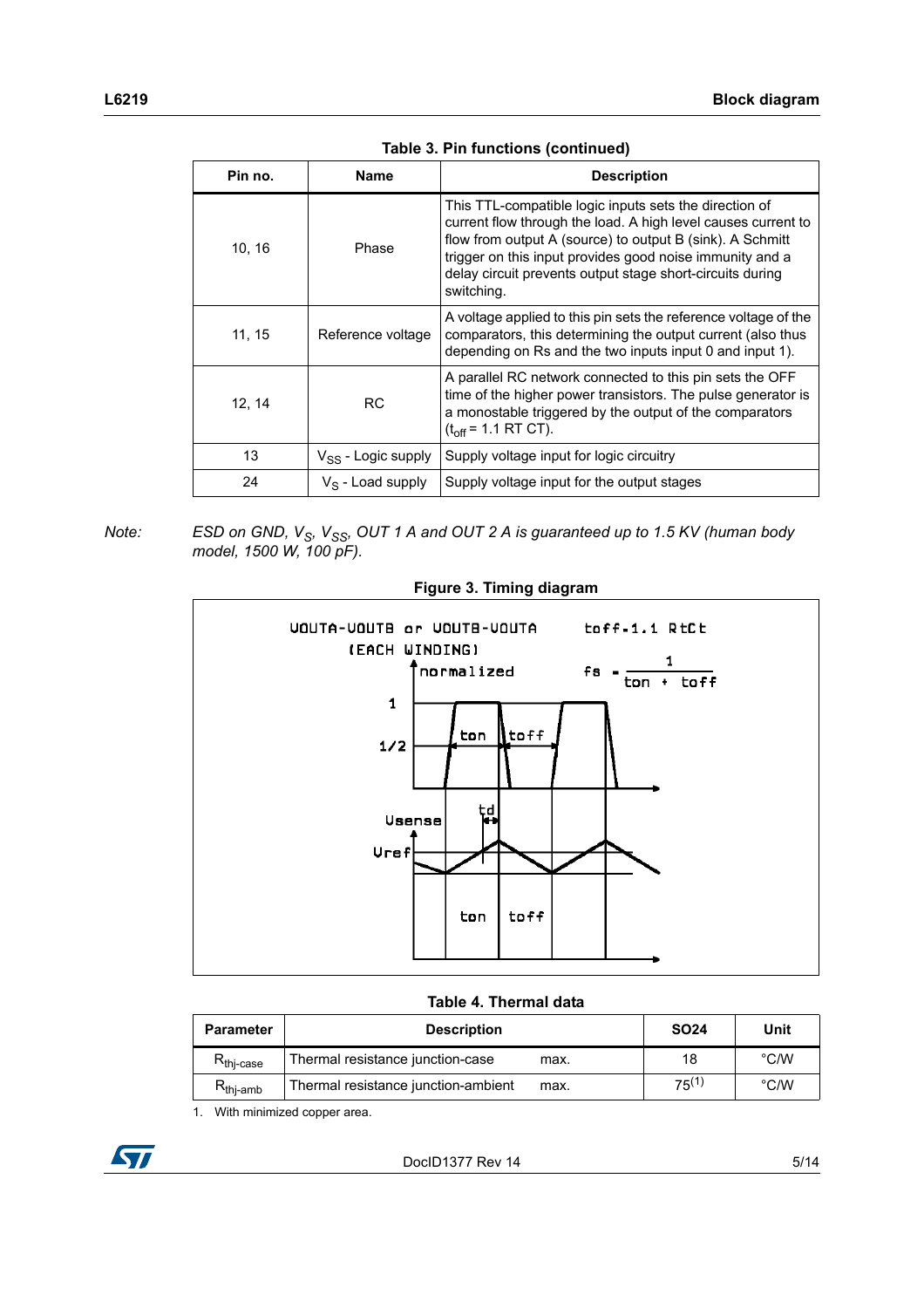| Pin no. | <b>Name</b>             | <b>Description</b>                                                                                                                                                                                                                                                                                                          |
|---------|-------------------------|-----------------------------------------------------------------------------------------------------------------------------------------------------------------------------------------------------------------------------------------------------------------------------------------------------------------------------|
| 10, 16  | Phase                   | This TTL-compatible logic inputs sets the direction of<br>current flow through the load. A high level causes current to<br>flow from output A (source) to output B (sink). A Schmitt<br>trigger on this input provides good noise immunity and a<br>delay circuit prevents output stage short-circuits during<br>switching. |
| 11, 15  | Reference voltage       | A voltage applied to this pin sets the reference voltage of the<br>comparators, this determining the output current (also thus<br>depending on Rs and the two inputs input 0 and input 1).                                                                                                                                  |
| 12, 14  | <b>RC</b>               | A parallel RC network connected to this pin sets the OFF<br>time of the higher power transistors. The pulse generator is<br>a monostable triggered by the output of the comparators<br>$(t_{off} = 1.1 RT CT)$ .                                                                                                            |
| 13      | $V_{SS}$ - Logic supply | Supply voltage input for logic circuitry                                                                                                                                                                                                                                                                                    |
| 24      | $V_S$ - Load supply     | Supply voltage input for the output stages                                                                                                                                                                                                                                                                                  |

**Table 3. Pin functions (continued)**

*Note:* ESD on GND, V<sub>S</sub>, V<sub>SS</sub>, OUT 1 A and OUT 2 A is guaranteed up to 1.5 KV (human body *model, 1500 W, 100 pF).*

<span id="page-4-0"></span>

**Figure 3. Timing diagram**

**Table 4. Thermal data**

| <b>Parameter</b>      | <b>Description</b>                          | <b>SO24</b> | Unit          |
|-----------------------|---------------------------------------------|-------------|---------------|
| R <sub>thj-case</sub> | Thermal resistance junction-case<br>max.    | 18          | $\degree$ C/W |
| $R_{\text{thj-amb}}$  | Thermal resistance junction-ambient<br>max. | $75^{(1)}$  | $\degree$ C/W |

1. With minimized copper area.

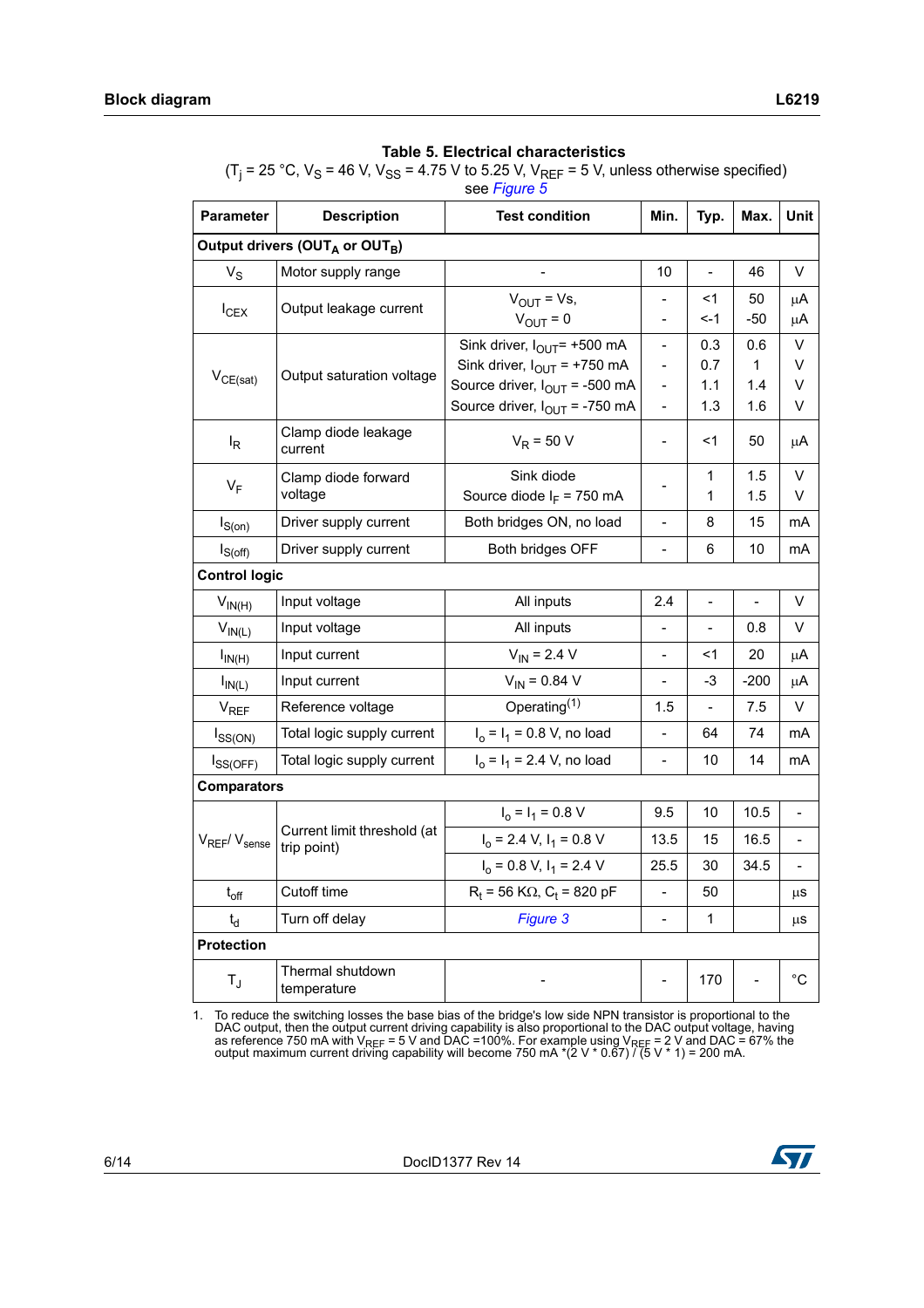(T<sub>j</sub> = 25 °C, V<sub>S</sub> = 46 V, V<sub>SS</sub> = 4.75 V to 5.25 V, V<sub>REF</sub> = 5 V, unless otherwise specified) see *[Figure 5](#page-9-1)*

| <b>Parameter</b>    | <b>Description</b>                                     | <b>Test condition</b>                                                                                                                                                 | Min.                                                                                                             | Typ.                     | Max.                   | Unit                         |
|---------------------|--------------------------------------------------------|-----------------------------------------------------------------------------------------------------------------------------------------------------------------------|------------------------------------------------------------------------------------------------------------------|--------------------------|------------------------|------------------------------|
|                     | Output drivers (OUT <sub>A</sub> or OUT <sub>B</sub> ) |                                                                                                                                                                       |                                                                                                                  |                          |                        |                              |
| $V_S$               | Motor supply range                                     |                                                                                                                                                                       | 10                                                                                                               | $\overline{a}$           | 46                     | V                            |
| $I_{CEX}$           | Output leakage current                                 | $V_{\text{OUT}} = Vs$ ,<br>$V_{OUT} = 0$                                                                                                                              |                                                                                                                  | $1$<br><-1               | 50<br>-50              | μA<br>μA                     |
| $V_{CE(sat)}$       | Output saturation voltage                              | Sink driver, $I_{\text{OUT}}$ = +500 mA<br>Sink driver, $I_{\text{OUT}}$ = +750 mA<br>Source driver, $I_{\text{OUT}}$ = -500 mA<br>Source driver, $I_{OUT}$ = -750 mA | $\overline{\phantom{0}}$<br>$\overline{\phantom{a}}$<br>$\overline{\phantom{a}}$<br>$\qquad \qquad \blacksquare$ | 0.3<br>0.7<br>1.1<br>1.3 | 0.6<br>1<br>1.4<br>1.6 | V<br>V<br>V<br>V             |
| $I_R$               | Clamp diode leakage<br>current                         | $V_R$ = 50 V                                                                                                                                                          | $\qquad \qquad -$                                                                                                | $<$ 1                    | 50                     | μA                           |
| $V_F$               | Clamp diode forward<br>voltage                         | Sink diode<br>Source diode $I_F$ = 750 mA                                                                                                                             |                                                                                                                  | $\mathbf{1}$<br>1        | 1.5<br>1.5             | V<br>V                       |
| $I_{S(0n)}$         | Driver supply current                                  | Both bridges ON, no load                                                                                                                                              | $\blacksquare$                                                                                                   | 8                        | 15                     | mA                           |
| $I_{S(off)}$        | Driver supply current                                  | Both bridges OFF                                                                                                                                                      | $\frac{1}{2}$                                                                                                    | 6                        | 10                     | mA                           |
|                     | <b>Control logic</b>                                   |                                                                                                                                                                       |                                                                                                                  |                          |                        |                              |
| $V_{IN(H)}$         | Input voltage                                          | All inputs                                                                                                                                                            | 2.4                                                                                                              | $\blacksquare$           | $\blacksquare$         | V                            |
| $V_{IN(L)}$         | Input voltage                                          | All inputs                                                                                                                                                            |                                                                                                                  |                          | 0.8                    | v                            |
| $I_{IN(H)}$         | Input current                                          | $V_{IN}$ = 2.4 V                                                                                                                                                      | $\blacksquare$                                                                                                   | <1                       | 20                     | μA                           |
| $I_{IN(L)}$         | Input current                                          | $V_{IN} = 0.84 V$                                                                                                                                                     |                                                                                                                  | $-3$                     | $-200$                 | μA                           |
| V <sub>REF</sub>    | Reference voltage                                      | Operating $(1)$                                                                                                                                                       | 1.5                                                                                                              | $\frac{1}{2}$            | 7.5                    | V                            |
| $I_{SS(ON)}$        | Total logic supply current                             | $I_0 = I_1 = 0.8$ V, no load                                                                                                                                          |                                                                                                                  | 64                       | 74                     | mA                           |
| $I_{SS(OFF)}$       | Total logic supply current                             | $I_0 = I_1 = 2.4$ V, no load                                                                                                                                          | $\blacksquare$                                                                                                   | 10                       | 14                     | mA                           |
| <b>Comparators</b>  |                                                        |                                                                                                                                                                       |                                                                                                                  |                          |                        |                              |
|                     |                                                        | $I_0 = I_1 = 0.8 V$                                                                                                                                                   | 9.5                                                                                                              | 10                       | 10.5                   | $\qquad \qquad \blacksquare$ |
| $V_{REF}/V_{sense}$ | Current limit threshold (at<br>trip point)             | $I_0$ = 2.4 V, $I_1$ = 0.8 V                                                                                                                                          | 13.5                                                                                                             | 15                       | 16.5                   | $\overline{a}$               |
|                     |                                                        | $I_0 = 0.8 V$ , $I_1 = 2.4 V$                                                                                                                                         | 25.5                                                                                                             | 30                       | 34.5                   |                              |
| $t_{off}$           | Cutoff time                                            | $R_t$ = 56 K $\Omega$ , C <sub>t</sub> = 820 pF                                                                                                                       | $\frac{1}{2}$                                                                                                    | 50                       |                        | μS                           |
| $t_{\sf d}$         | Turn off delay                                         | Figure 3                                                                                                                                                              | $\blacksquare$                                                                                                   | $\mathbf{1}$             |                        | μS                           |
| <b>Protection</b>   |                                                        |                                                                                                                                                                       |                                                                                                                  |                          |                        |                              |
| $T_{\rm J}$         | Thermal shutdown<br>temperature                        |                                                                                                                                                                       |                                                                                                                  | 170                      |                        | $^{\circ}C$                  |

1. To reduce the switching losses the base bias of the bridge's low side NPN transistor is proportional to the DAC output, then the output current driving capability is also proportional to the DAC output voltage, having as reference 750 mA with V<sub>REF</sub> = 5 V and DAC =100%. For example using V<sub>REF</sub> = 2 V and DAC = 67% the<br>output maximum current driving capability will become 750 mA \*(2 V \* 0.67) / (5 V \* 1) = 200 mA.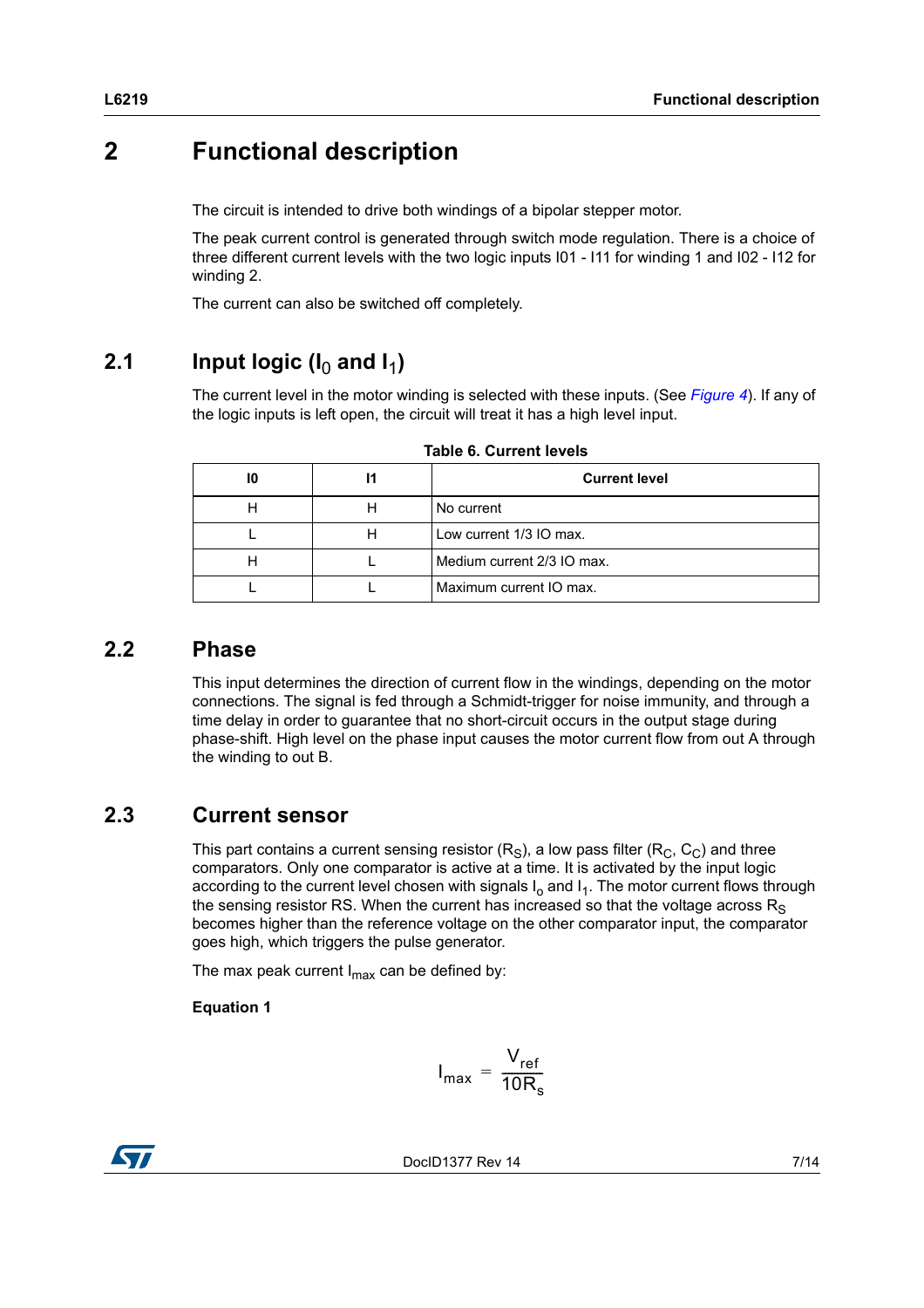## <span id="page-6-0"></span>**2 Functional description**

The circuit is intended to drive both windings of a bipolar stepper motor.

The peak current control is generated through switch mode regulation. There is a choice of three different current levels with the two logic inputs I01 - I11 for winding 1 and I02 - I12 for winding 2.

The current can also be switched off completely.

## <span id="page-6-1"></span>**2.1** Input logic ( $I_0$  and  $I_1$ )

The current level in the motor winding is selected with these inputs. (See *[Figure 4](#page-7-2)*). If any of the logic inputs is left open, the circuit will treat it has a high level input.

| 10 |   | <b>Current level</b>       |
|----|---|----------------------------|
|    |   | No current                 |
|    | н | Low current 1/3 IO max.    |
|    |   | Medium current 2/3 IO max. |
|    |   | Maximum current IO max.    |

**Table 6. Current levels**

### <span id="page-6-2"></span>**2.2 Phase**

This input determines the direction of current flow in the windings, depending on the motor connections. The signal is fed through a Schmidt-trigger for noise immunity, and through a time delay in order to guarantee that no short-circuit occurs in the output stage during phase-shift. High level on the phase input causes the motor current flow from out A through the winding to out B.

## <span id="page-6-3"></span>**2.3 Current sensor**

This part contains a current sensing resistor  $(R_S)$ , a low pass filter  $(R_C, C_C)$  and three comparators. Only one comparator is active at a time. It is activated by the input logic according to the current level chosen with signals  $I_0$  and  $I_1$ . The motor current flows through the sensing resistor RS. When the current has increased so that the voltage across  $R<sub>S</sub>$ becomes higher than the reference voltage on the other comparator input, the comparator goes high, which triggers the pulse generator.

The max peak current  $I_{\text{max}}$  can be defined by:

### **Equation 1**

$$
I_{\text{max}} = \frac{V_{\text{ref}}}{10R_s}
$$

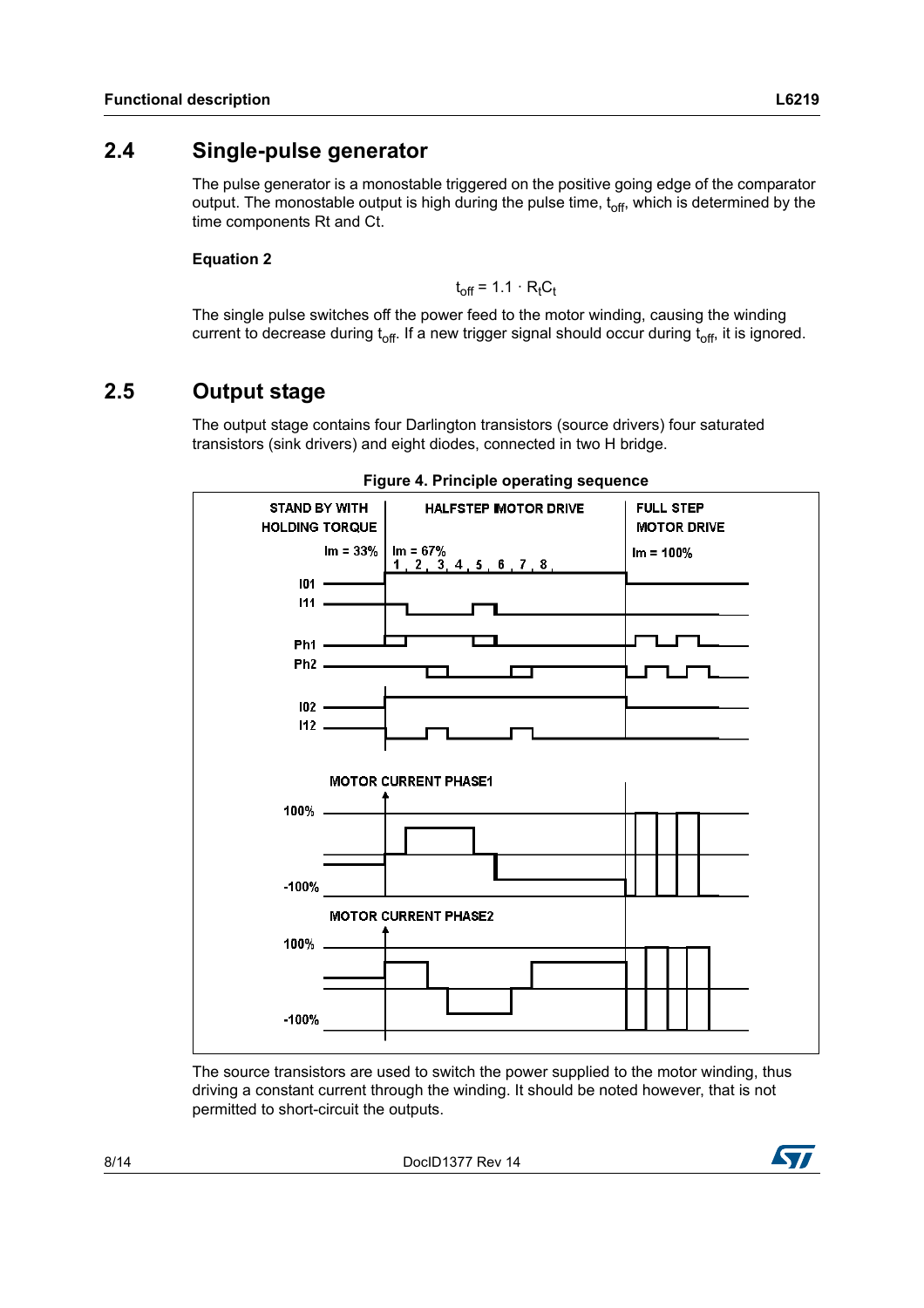### <span id="page-7-0"></span>**2.4 Single-pulse generator**

The pulse generator is a monostable triggered on the positive going edge of the comparator output. The monostable output is high during the pulse time,  $t<sub>off</sub>$ , which is determined by the time components Rt and Ct.

#### **Equation 2**

 $t_{\text{off}}$  = 1.1  $\cdot$  R<sub>t</sub>C<sub>t</sub>

The single pulse switches off the power feed to the motor winding, causing the winding current to decrease during  $t_{off.}$  If a new trigger signal should occur during  $t_{off.}$  it is ignored.

### <span id="page-7-1"></span>**2.5 Output stage**

The output stage contains four Darlington transistors (source drivers) four saturated transistors (sink drivers) and eight diodes, connected in two H bridge.

<span id="page-7-2"></span>

#### **Figure 4. Principle operating sequence**

The source transistors are used to switch the power supplied to the motor winding, thus driving a constant current through the winding. It should be noted however, that is not permitted to short-circuit the outputs.

8/14 DocID1377 Rev 14

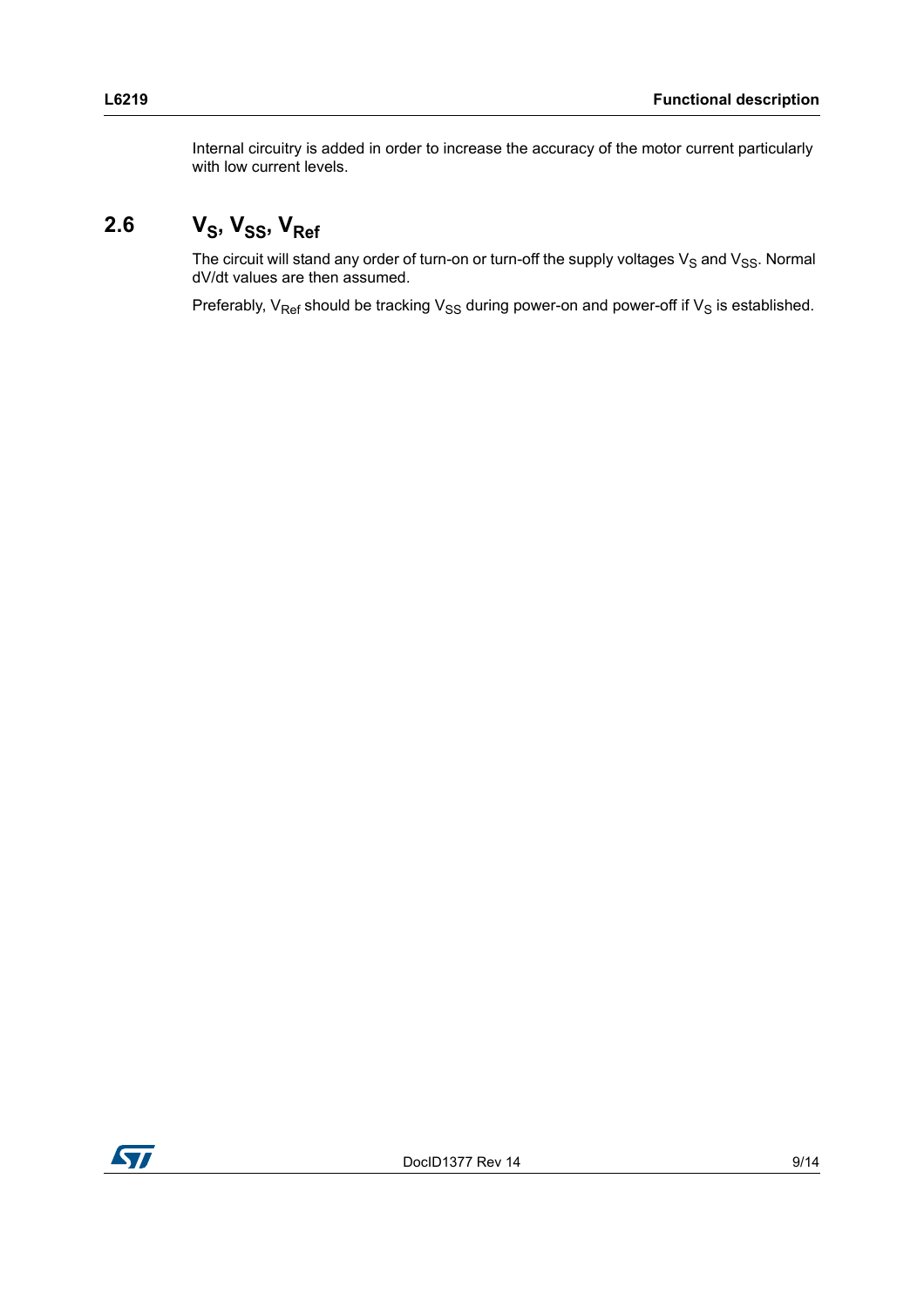Internal circuitry is added in order to increase the accuracy of the motor current particularly with low current levels.

## <span id="page-8-0"></span>2.6  $V_S$ ,  $V_{SS}$ ,  $V_{Ref}$

The circuit will stand any order of turn-on or turn-off the supply voltages  $V_S$  and  $V_{SS}$ . Normal dV/dt values are then assumed.

Preferably,  $V_{\text{Ref}}$  should be tracking  $V_{\text{SS}}$  during power-on and power-off if  $V_{\text{S}}$  is established.

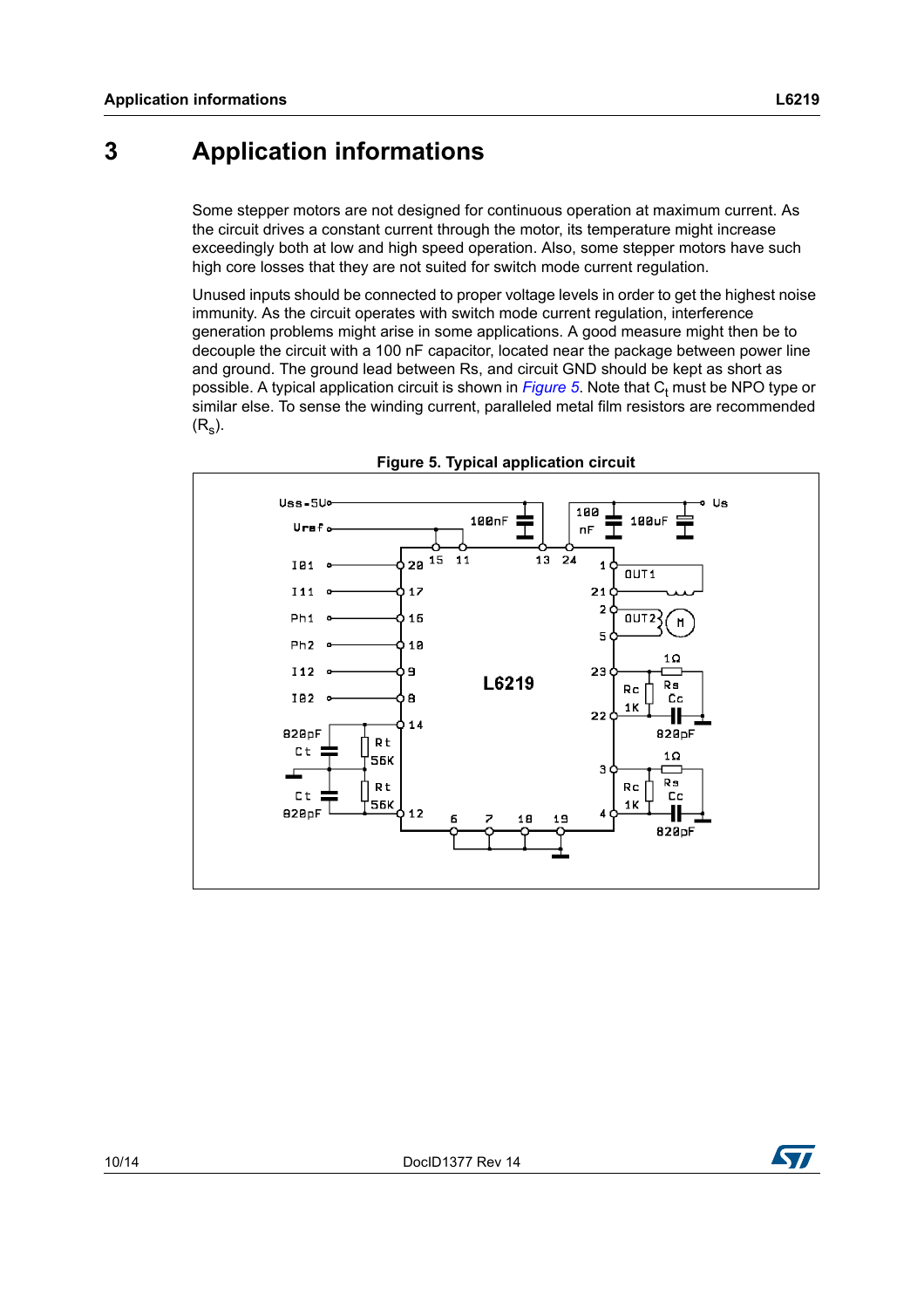## <span id="page-9-0"></span>**3 Application informations**

Some stepper motors are not designed for continuous operation at maximum current. As the circuit drives a constant current through the motor, its temperature might increase exceedingly both at low and high speed operation. Also, some stepper motors have such high core losses that they are not suited for switch mode current regulation.

Unused inputs should be connected to proper voltage levels in order to get the highest noise immunity. As the circuit operates with switch mode current regulation, interference generation problems might arise in some applications. A good measure might then be to decouple the circuit with a 100 nF capacitor, located near the package between power line and ground. The ground lead between Rs, and circuit GND should be kept as short as possible. A typical application circuit is shown in *[Figure 5](#page-9-1)*. Note that C<sub>t</sub> must be NPO type or similar else. To sense the winding current, paralleled metal film resistors are recommended  $(R<sub>s</sub>)$ .

<span id="page-9-1"></span>



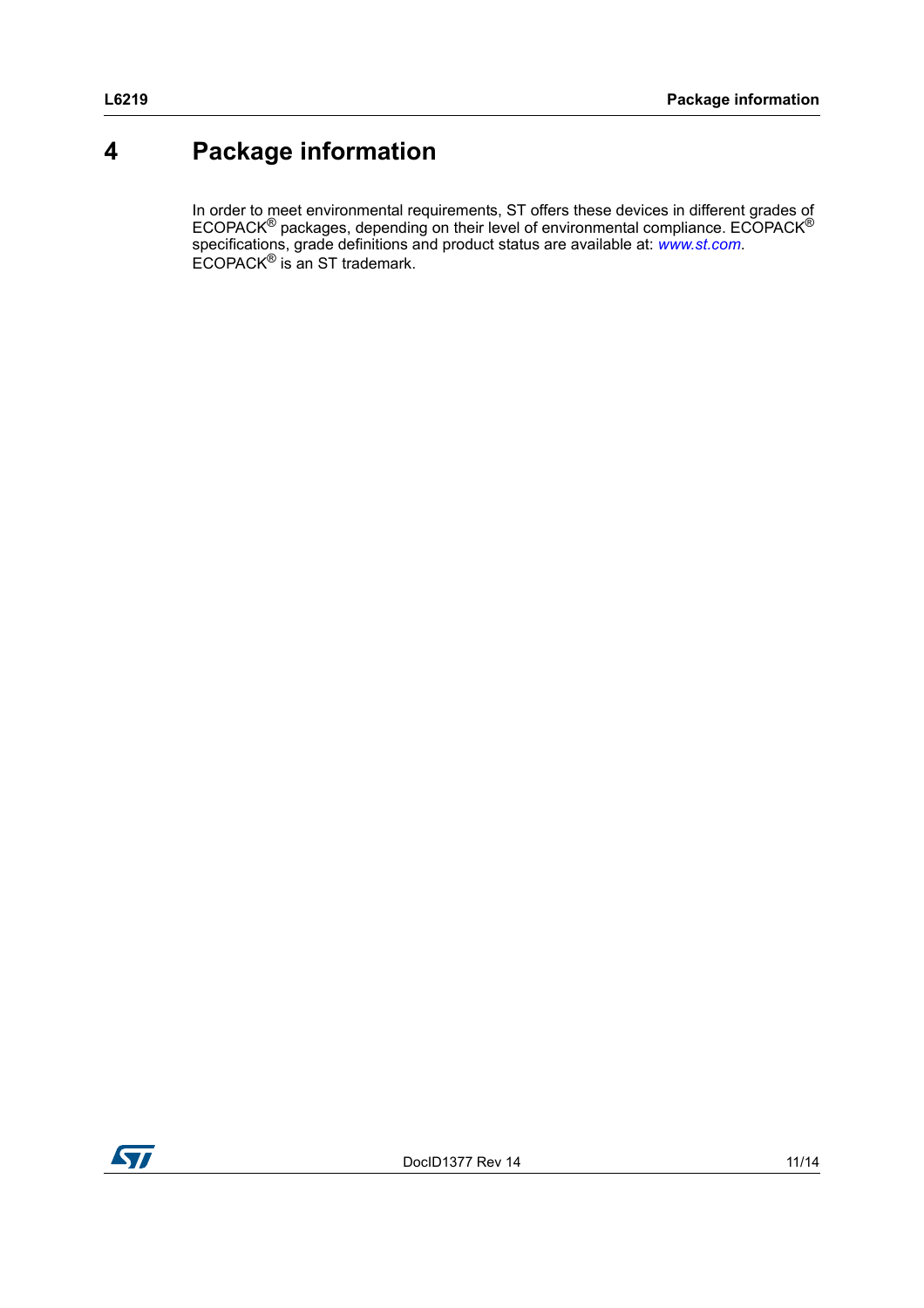## <span id="page-10-0"></span>**4 Package information**

In order to meet environmental requirements, ST offers these devices in different grades of ECOPACK<sup>®</sup> packages, depending on their level of environmental compliance. ECOPACK<sup>®</sup> specifications, grade definitions and product status are available at: *[www.st.com](http://www.st.com)*. ECOPACK® is an ST trademark.

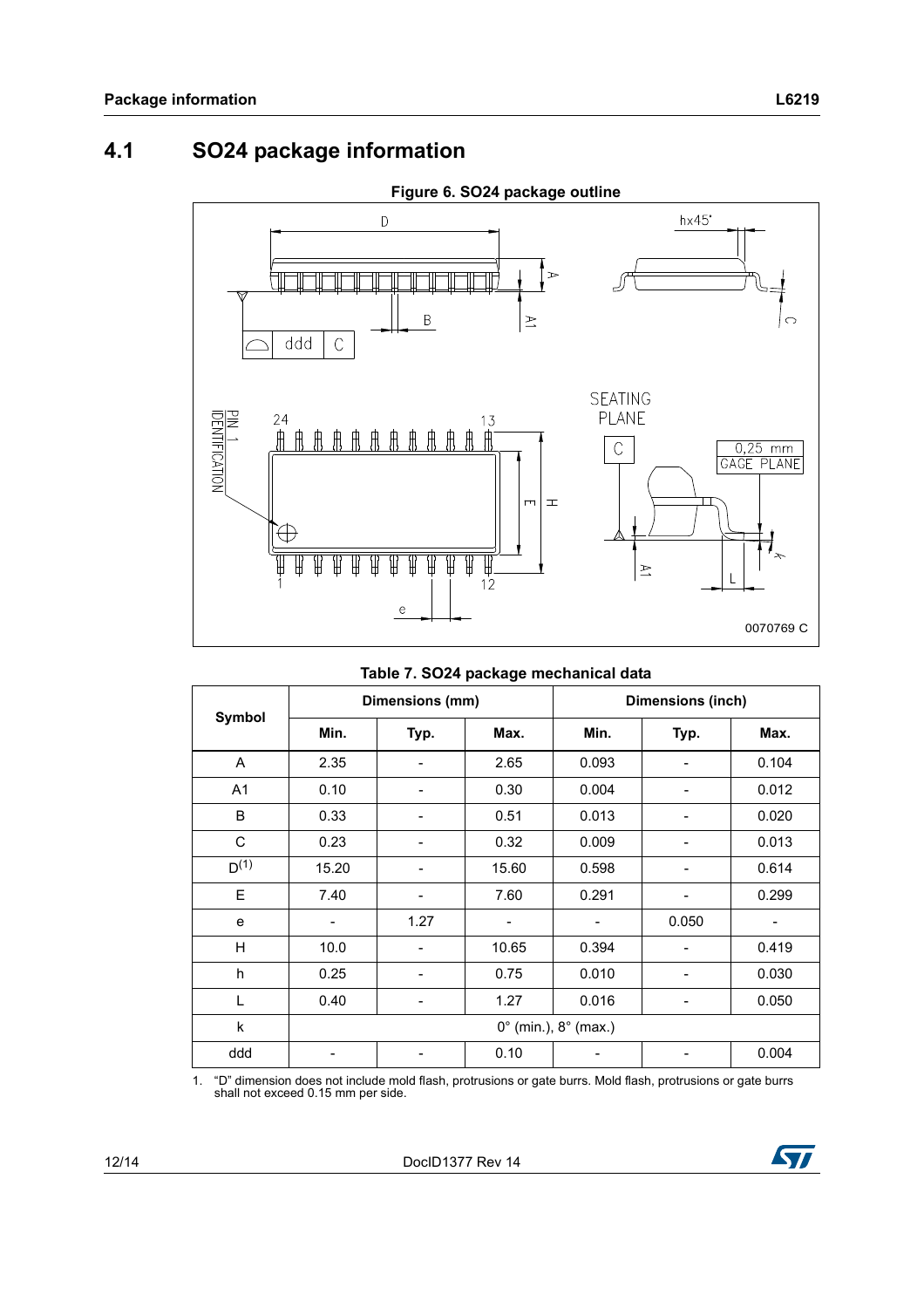## <span id="page-11-0"></span>**4.1 SO24 package information**



#### **Table 7. SO24 package mechanical data**

|                |                          | Dimensions (mm) |       | Dimensions (inch)                      |       |       |
|----------------|--------------------------|-----------------|-------|----------------------------------------|-------|-------|
| Symbol         | Min.                     | Typ.            | Max.  | Min.                                   | Typ.  | Max.  |
| A              | 2.35                     |                 | 2.65  | 0.093                                  |       | 0.104 |
| A <sub>1</sub> | 0.10                     | -               | 0.30  | 0.004                                  |       | 0.012 |
| B              | 0.33                     |                 | 0.51  | 0.013                                  |       | 0.020 |
| C              | 0.23                     |                 | 0.32  | 0.009                                  |       | 0.013 |
| $D^{(1)}$      | 15.20                    |                 | 15.60 | 0.598                                  |       | 0.614 |
| E              | 7.40                     |                 | 7.60  | 0.291                                  |       | 0.299 |
| e              | $\overline{\phantom{a}}$ | 1.27            |       | $\overline{\phantom{a}}$               | 0.050 | -     |
| H              | 10.0                     |                 | 10.65 | 0.394                                  |       | 0.419 |
| h              | 0.25                     |                 | 0.75  | 0.010                                  |       | 0.030 |
| L              | 0.40                     |                 | 1.27  | 0.016                                  |       | 0.050 |
| k              |                          |                 |       | $0^{\circ}$ (min.), $8^{\circ}$ (max.) |       |       |
| ddd            |                          |                 | 0.10  |                                        |       | 0.004 |

1. "D" dimension does not include mold flash, protrusions or gate burrs. Mold flash, protrusions or gate burrs shall not exceed 0.15 mm per side.

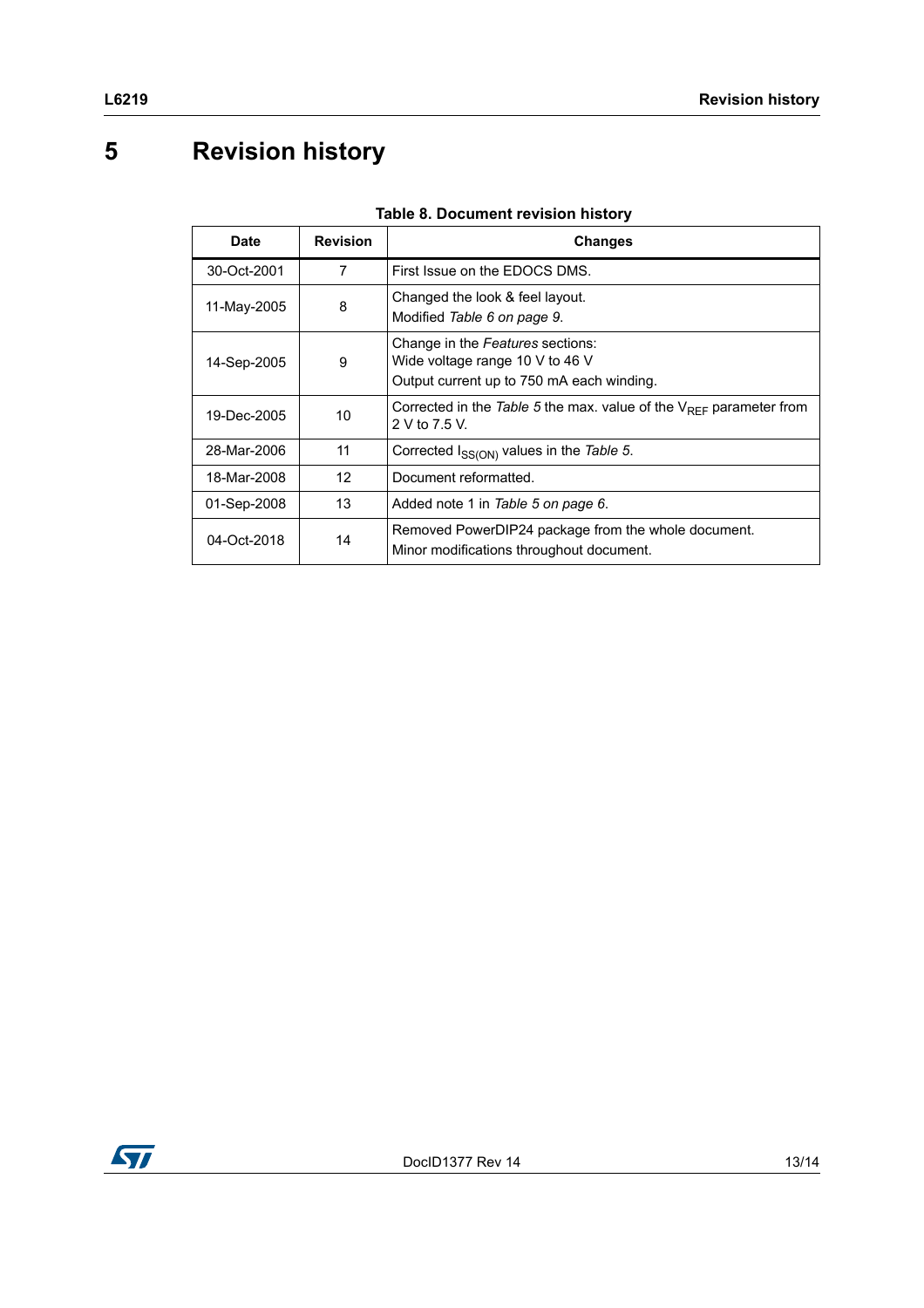# <span id="page-12-0"></span>**5 Revision history**

| Date        | <b>Revision</b> | <b>Changes</b>                                                                                                   |
|-------------|-----------------|------------------------------------------------------------------------------------------------------------------|
| 30-Oct-2001 | 7               | First Issue on the EDOCS DMS.                                                                                    |
| 11-May-2005 | 8               | Changed the look & feel layout.<br>Modified Table 6 on page 9.                                                   |
| 14-Sep-2005 | 9               | Change in the Features sections:<br>Wide voltage range 10 V to 46 V<br>Output current up to 750 mA each winding. |
| 19-Dec-2005 | 10              | Corrected in the Table 5 the max. value of the $V_{RFF}$ parameter from<br>2 V to 7.5 V.                         |
| 28-Mar-2006 | 11              | Corrected I <sub>SS(ON)</sub> values in the Table 5.                                                             |
| 18-Mar-2008 | 12              | Document reformatted.                                                                                            |
| 01-Sep-2008 | 13              | Added note 1 in Table 5 on page 6.                                                                               |
| 04-Oct-2018 | 14              | Removed PowerDIP24 package from the whole document.<br>Minor modifications throughout document.                  |

### **Table 8. Document revision history**